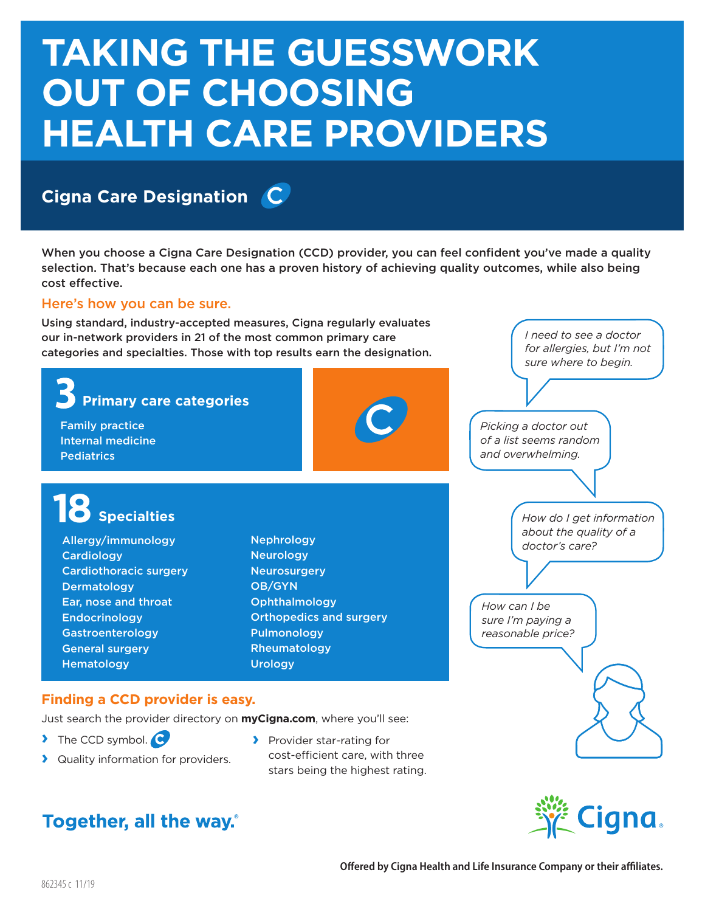# **TAKING THE GUESSWORK OUT OF CHOOSING HEALTH CARE PROVIDERS**

# **Cigna Care Designation**

When you choose a Cigna Care Designation (CCD) provider, you can feel confident you've made a quality selection. That's because each one has a proven history of achieving quality outcomes, while also being cost effective.

#### Here's how you can be sure.

Using standard, industry-accepted measures, Cigna regularly evaluates our in-network providers in 21 of the most common primary care categories and specialties. Those with top results earn the designation.







*I need to see a doctor for allergies, but I'm not*